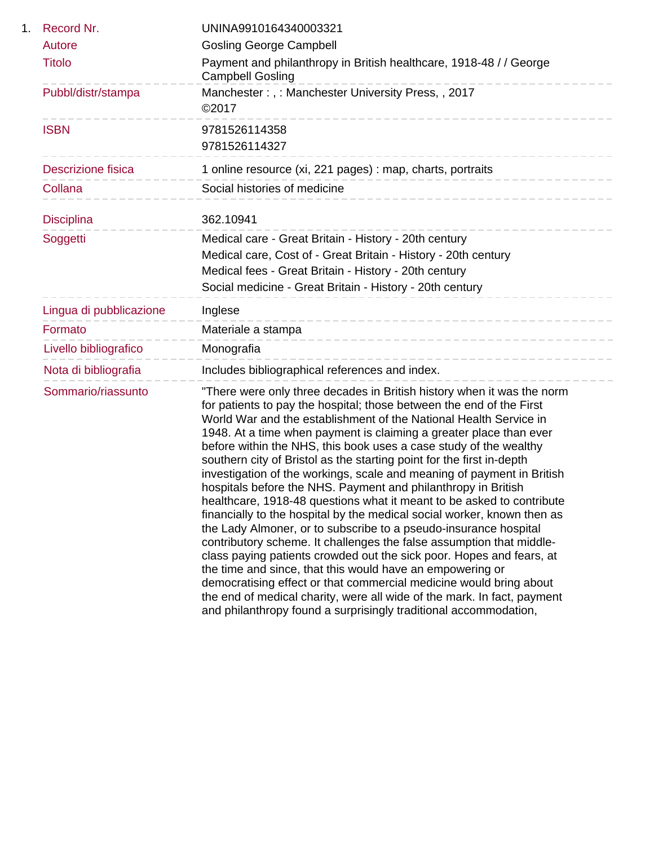| 1. | Record Nr.                | UNINA9910164340003321                                                                                                                                                                                                                                                                                                                                                                                                                                                                                                                                                                                                                                                                                                                                                                                                                                                                                                                                                                                                                                                                                                                                                                                                                        |
|----|---------------------------|----------------------------------------------------------------------------------------------------------------------------------------------------------------------------------------------------------------------------------------------------------------------------------------------------------------------------------------------------------------------------------------------------------------------------------------------------------------------------------------------------------------------------------------------------------------------------------------------------------------------------------------------------------------------------------------------------------------------------------------------------------------------------------------------------------------------------------------------------------------------------------------------------------------------------------------------------------------------------------------------------------------------------------------------------------------------------------------------------------------------------------------------------------------------------------------------------------------------------------------------|
|    | Autore                    | <b>Gosling George Campbell</b>                                                                                                                                                                                                                                                                                                                                                                                                                                                                                                                                                                                                                                                                                                                                                                                                                                                                                                                                                                                                                                                                                                                                                                                                               |
|    | <b>Titolo</b>             | Payment and philanthropy in British healthcare, 1918-48 / / George<br><b>Campbell Gosling</b>                                                                                                                                                                                                                                                                                                                                                                                                                                                                                                                                                                                                                                                                                                                                                                                                                                                                                                                                                                                                                                                                                                                                                |
|    | Pubbl/distr/stampa        | Manchester:,: Manchester University Press,, 2017<br>©2017                                                                                                                                                                                                                                                                                                                                                                                                                                                                                                                                                                                                                                                                                                                                                                                                                                                                                                                                                                                                                                                                                                                                                                                    |
|    | <b>ISBN</b>               | 9781526114358<br>9781526114327                                                                                                                                                                                                                                                                                                                                                                                                                                                                                                                                                                                                                                                                                                                                                                                                                                                                                                                                                                                                                                                                                                                                                                                                               |
|    | <b>Descrizione fisica</b> | 1 online resource (xi, 221 pages) : map, charts, portraits                                                                                                                                                                                                                                                                                                                                                                                                                                                                                                                                                                                                                                                                                                                                                                                                                                                                                                                                                                                                                                                                                                                                                                                   |
|    | Collana                   | Social histories of medicine                                                                                                                                                                                                                                                                                                                                                                                                                                                                                                                                                                                                                                                                                                                                                                                                                                                                                                                                                                                                                                                                                                                                                                                                                 |
|    | <b>Disciplina</b>         | 362.10941                                                                                                                                                                                                                                                                                                                                                                                                                                                                                                                                                                                                                                                                                                                                                                                                                                                                                                                                                                                                                                                                                                                                                                                                                                    |
|    | Soggetti                  | Medical care - Great Britain - History - 20th century<br>Medical care, Cost of - Great Britain - History - 20th century<br>Medical fees - Great Britain - History - 20th century<br>Social medicine - Great Britain - History - 20th century                                                                                                                                                                                                                                                                                                                                                                                                                                                                                                                                                                                                                                                                                                                                                                                                                                                                                                                                                                                                 |
|    | Lingua di pubblicazione   | Inglese<br>-------------------------------                                                                                                                                                                                                                                                                                                                                                                                                                                                                                                                                                                                                                                                                                                                                                                                                                                                                                                                                                                                                                                                                                                                                                                                                   |
|    | Formato                   | Materiale a stampa<br>--------------------------------                                                                                                                                                                                                                                                                                                                                                                                                                                                                                                                                                                                                                                                                                                                                                                                                                                                                                                                                                                                                                                                                                                                                                                                       |
|    | Livello bibliografico     | Monografia<br>------------------------                                                                                                                                                                                                                                                                                                                                                                                                                                                                                                                                                                                                                                                                                                                                                                                                                                                                                                                                                                                                                                                                                                                                                                                                       |
|    | Nota di bibliografia      | Includes bibliographical references and index.                                                                                                                                                                                                                                                                                                                                                                                                                                                                                                                                                                                                                                                                                                                                                                                                                                                                                                                                                                                                                                                                                                                                                                                               |
|    | Sommario/riassunto        | "There were only three decades in British history when it was the norm<br>for patients to pay the hospital; those between the end of the First<br>World War and the establishment of the National Health Service in<br>1948. At a time when payment is claiming a greater place than ever<br>before within the NHS, this book uses a case study of the wealthy<br>southern city of Bristol as the starting point for the first in-depth<br>investigation of the workings, scale and meaning of payment in British<br>hospitals before the NHS. Payment and philanthropy in British<br>healthcare, 1918-48 questions what it meant to be asked to contribute<br>financially to the hospital by the medical social worker, known then as<br>the Lady Almoner, or to subscribe to a pseudo-insurance hospital<br>contributory scheme. It challenges the false assumption that middle-<br>class paying patients crowded out the sick poor. Hopes and fears, at<br>the time and since, that this would have an empowering or<br>democratising effect or that commercial medicine would bring about<br>the end of medical charity, were all wide of the mark. In fact, payment<br>and philanthropy found a surprisingly traditional accommodation, |